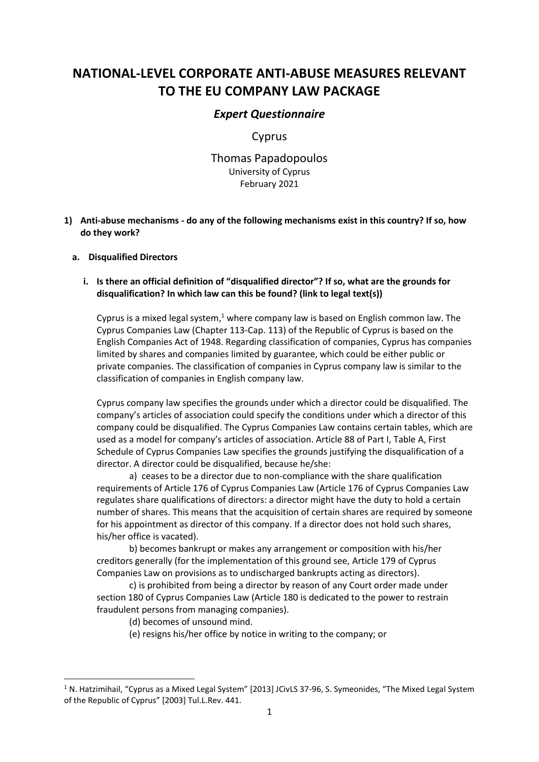# **NATIONAL-LEVEL CORPORATE ANTI-ABUSE MEASURES RELEVANT TO THE EU COMPANY LAW PACKAGE**

## *Expert Questionnaire*

## Cyprus

# Thomas Papadopoulos University of Cyprus February 2021

**1) Anti-abuse mechanisms - do any of the following mechanisms exist in this country? If so, how do they work?**

#### **a. Disqualified Directors**

#### **i. Is there an official definition of "disqualified director"? If so, what are the grounds for disqualification? In which law can this be found? (link to legal text(s))**

Cyprus is a mixed legal system,<sup>1</sup> where company law is based on English common law. The Cyprus Companies Law (Chapter 113-Cap. 113) of the Republic of Cyprus is based on the English Companies Act of 1948. Regarding classification of companies, Cyprus has companies limited by shares and companies limited by guarantee, which could be either public or private companies. The classification of companies in Cyprus company law is similar to the classification of companies in English company law.

Cyprus company law specifies the grounds under which a director could be disqualified. The company's articles of association could specify the conditions under which a director of this company could be disqualified. The Cyprus Companies Law contains certain tables, which are used as a model for company's articles of association. Article 88 of Part I, Table A, First Schedule of Cyprus Companies Law specifies the grounds justifying the disqualification of a director. A director could be disqualified, because he/she:

a) ceases to be a director due to non-compliance with the share qualification requirements of Article 176 of Cyprus Companies Law (Article 176 of Cyprus Companies Law regulates share qualifications of directors: a director might have the duty to hold a certain number of shares. This means that the acquisition of certain shares are required by someone for his appointment as director of this company. If a director does not hold such shares, his/her office is vacated).

b) becomes bankrupt or makes any arrangement or composition with his/her creditors generally (for the implementation of this ground see, Article 179 of Cyprus Companies Law on provisions as to undischarged bankrupts acting as directors).

c) is prohibited from being a director by reason of any Court order made under section 180 of Cyprus Companies Law (Article 180 is dedicated to the power to restrain fraudulent persons from managing companies).

(d) becomes of unsound mind.

(e) resigns his/her office by notice in writing to the company; or

<sup>&</sup>lt;sup>1</sup> N. Hatzimihail, "Cyprus as a Mixed Legal System" [2013] JCivLS 37-96, S. Symeonides, "The Mixed Legal System of the Republic of Cyprus" [2003] Tul.L.Rev. 441.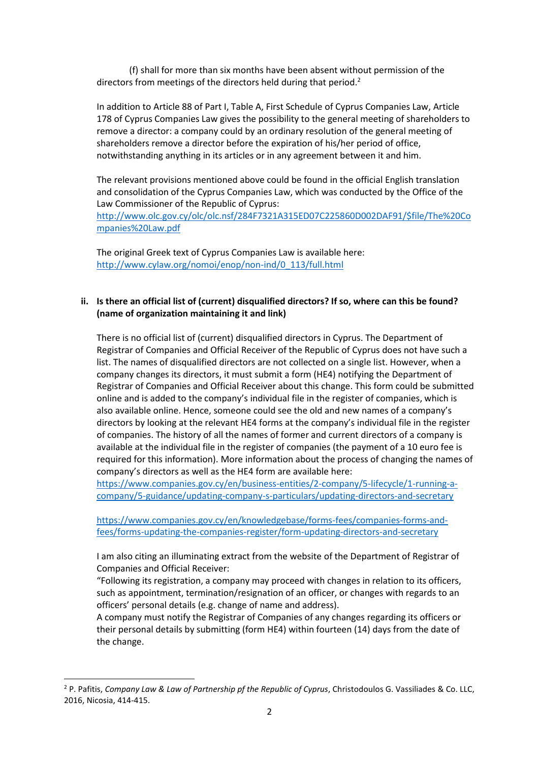(f) shall for more than six months have been absent without permission of the directors from meetings of the directors held during that period.<sup>2</sup>

In addition to Article 88 of Part I, Table A, First Schedule of Cyprus Companies Law, Article 178 of Cyprus Companies Law gives the possibility to the general meeting of shareholders to remove a director: a company could by an ordinary resolution of the general meeting of shareholders remove a director before the expiration of his/her period of office, notwithstanding anything in its articles or in any agreement between it and him.

The relevant provisions mentioned above could be found in the official English translation and consolidation of the Cyprus Companies Law, which was conducted by the Office of the Law Commissioner of the Republic of Cyprus:

[http://www.olc.gov.cy/olc/olc.nsf/284F7321A315ED07C225860D002DAF91/\\$file/The%20Co](http://www.olc.gov.cy/olc/olc.nsf/284F7321A315ED07C225860D002DAF91/$file/The%20Companies%20Law.pdf) [mpanies%20Law.pdf](http://www.olc.gov.cy/olc/olc.nsf/284F7321A315ED07C225860D002DAF91/$file/The%20Companies%20Law.pdf)

The original Greek text of Cyprus Companies Law is available here: [http://www.cylaw.org/nomoi/enop/non-ind/0\\_113/full.html](http://www.cylaw.org/nomoi/enop/non-ind/0_113/full.html)

#### **ii. Is there an official list of (current) disqualified directors? If so, where can this be found? (name of organization maintaining it and link)**

There is no official list of (current) disqualified directors in Cyprus. The Department of Registrar of Companies and Official Receiver of the Republic of Cyprus does not have such a list. The names of disqualified directors are not collected on a single list. However, when a company changes its directors, it must submit a form (HE4) notifying the Department of Registrar of Companies and Official Receiver about this change. This form could be submitted online and is added to the company's individual file in the register of companies, which is also available online. Hence, someone could see the old and new names of a company's directors by looking at the relevant HE4 forms at the company's individual file in the register of companies. The history of all the names of former and current directors of a company is available at the individual file in the register of companies (the payment of a 10 euro fee is required for this information). More information about the process of changing the names of company's directors as well as the HE4 form are available here:

[https://www.companies.gov.cy/en/business-entities/2-company/5-lifecycle/1-running-a](https://www.companies.gov.cy/en/business-entities/2-company/5-lifecycle/1-running-a-company/5-guidance/updating-company-s-particulars/updating-directors-and-secretary)[company/5-guidance/updating-company-s-particulars/updating-directors-and-secretary](https://www.companies.gov.cy/en/business-entities/2-company/5-lifecycle/1-running-a-company/5-guidance/updating-company-s-particulars/updating-directors-and-secretary)

[https://www.companies.gov.cy/en/knowledgebase/forms-fees/companies-forms-and](https://www.companies.gov.cy/en/knowledgebase/forms-fees/companies-forms-and-fees/forms-updating-the-companies-register/form-updating-directors-and-secretary)[fees/forms-updating-the-companies-register/form-updating-directors-and-secretary](https://www.companies.gov.cy/en/knowledgebase/forms-fees/companies-forms-and-fees/forms-updating-the-companies-register/form-updating-directors-and-secretary)

I am also citing an illuminating extract from the website of the Department of Registrar of Companies and Official Receiver:

"Following its registration, a company may proceed with changes in relation to its officers, such as appointment, termination/resignation of an officer, or changes with regards to an officers' personal details (e.g. change of name and address).

A company must notify the Registrar of Companies of any changes regarding its officers or their personal details by submitting (form HE4) within fourteen (14) days from the date of the change.

<sup>2</sup> P. Pafitis, *Company Law & Law of Partnership pf the Republic of Cyprus*, Christodoulos G. Vassiliades & Co. LLC, 2016, Nicosia, 414-415.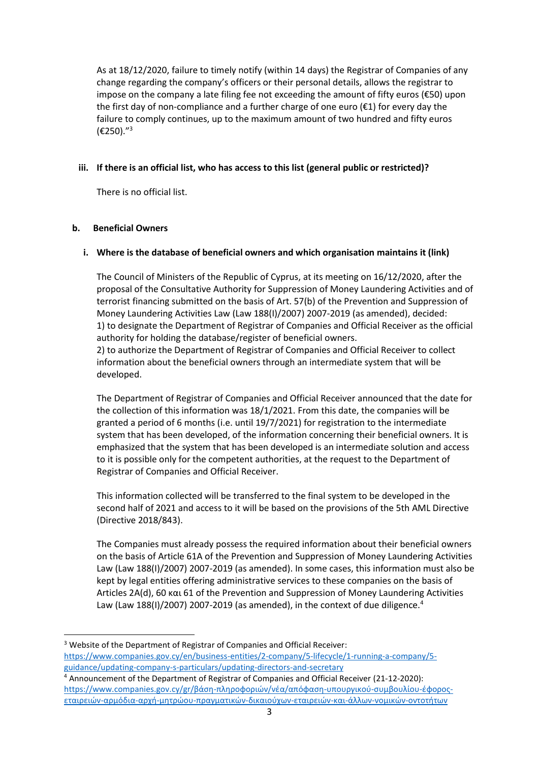As at 18/12/2020, failure to timely notify (within 14 days) the Registrar of Companies of any change regarding the company's officers or their personal details, allows the registrar to impose on the company a late filing fee not exceeding the amount of fifty euros (€50) upon the first day of non-compliance and a further charge of one euro  $(\epsilon 1)$  for every day the failure to comply continues, up to the maximum amount of two hundred and fifty euros (€250)." 3

## **iii. If there is an official list, who has access to this list (general public or restricted)?**

There is no official list.

#### **b. Beneficial Owners**

#### **i. Where is the database of beneficial owners and which organisation maintains it (link)**

The Council of Ministers of the Republic of Cyprus, at its meeting on 16/12/2020, after the proposal of the Consultative Authority for Suppression of Money Laundering Activities and of terrorist financing submitted on the basis of Art. 57(b) of the Prevention and Suppression of Money Laundering Activities Law (Law 188(I)/2007) 2007-2019 (as amended), decided: 1) to designate the Department of Registrar of Companies and Official Receiver as the official authority for holding the database/register of beneficial owners.

2) to authorize the Department of Registrar of Companies and Official Receiver to collect information about the beneficial owners through an intermediate system that will be developed.

The Department of Registrar of Companies and Official Receiver announced that the date for the collection of this information was 18/1/2021. From this date, the companies will be granted a period of 6 months (i.e. until 19/7/2021) for registration to the intermediate system that has been developed, of the information concerning their beneficial owners. It is emphasized that the system that has been developed is an intermediate solution and access to it is possible only for the competent authorities, at the request to the Department of Registrar of Companies and Official Receiver.

This information collected will be transferred to the final system to be developed in the second half of 2021 and access to it will be based on the provisions of the 5th AML Directive (Directive 2018/843).

The Companies must already possess the required information about their beneficial owners on the basis of Article 61A of the Prevention and Suppression of Money Laundering Activities Law (Law 188(I)/2007) 2007-2019 (as amended). In some cases, this information must also be kept by legal entities offering administrative services to these companies on the basis of Articles 2Α(d), 60 και 61 of the Prevention and Suppression of Money Laundering Activities Law (Law 188(I)/2007) 2007-2019 (as amended), in the context of due diligence.<sup>4</sup>

<sup>3</sup> Website of the Department of Registrar of Companies and Official Receiver: [https://www.companies.gov.cy/en/business-entities/2-company/5-lifecycle/1-running-a-company/5](https://www.companies.gov.cy/en/business-entities/2-company/5-lifecycle/1-running-a-company/5-guidance/updating-company-s-particulars/updating-directors-and-secretary) [guidance/updating-company-s-particulars/updating-directors-and-secretary](https://www.companies.gov.cy/en/business-entities/2-company/5-lifecycle/1-running-a-company/5-guidance/updating-company-s-particulars/updating-directors-and-secretary) <sup>4</sup> Announcement of the Department of Registrar of Companies and Official Receiver (21-12-2020):

[https://www.companies.gov.cy/gr/βάση](https://www.companies.gov.cy/gr/βάση-πληροφοριών/νέα/απόφαση-υπουργικού-συμβουλίου-έφορος-εταιρειών-αρμόδια-αρχή-μητρώου-πραγματικών-δικαιούχων-εταιρειών-και-άλλων-νομικών-οντοτήτων)-πληροφοριών/νέα/απόφαση-υπουργικού-συμβουλίου-έφοροςεταιρειών-αρμόδια-αρχή-μητρώου-[πραγματικών](https://www.companies.gov.cy/gr/βάση-πληροφοριών/νέα/απόφαση-υπουργικού-συμβουλίου-έφορος-εταιρειών-αρμόδια-αρχή-μητρώου-πραγματικών-δικαιούχων-εταιρειών-και-άλλων-νομικών-οντοτήτων)-δικαιούχων-εταιρειών-και-άλλων-νομικών-οντοτήτων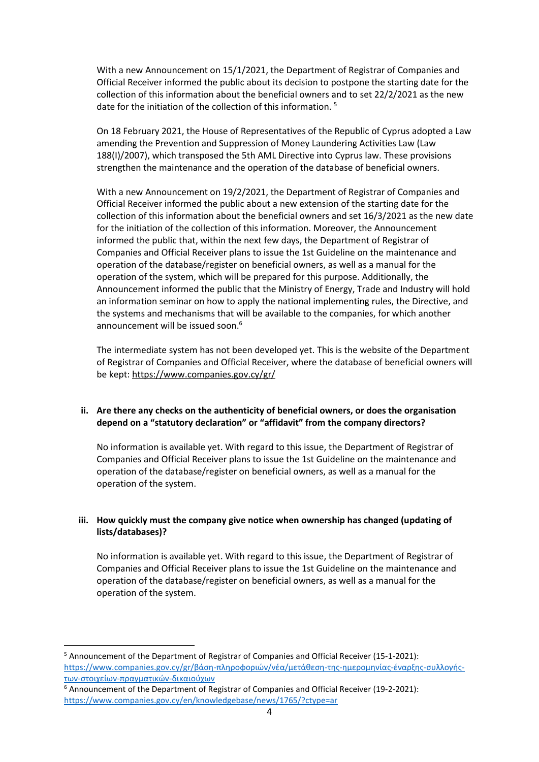With a new Announcement on 15/1/2021, the Department of Registrar of Companies and Official Receiver informed the public about its decision to postpone the starting date for the collection of this information about the beneficial owners and to set 22/2/2021 as the new date for the initiation of the collection of this information.<sup>5</sup>

On 18 February 2021, the House of Representatives of the Republic of Cyprus adopted a Law amending the Prevention and Suppression of Money Laundering Activities Law (Law 188(I)/2007), which transposed the 5th AML Directive into Cyprus law. These provisions strengthen the maintenance and the operation of the database of beneficial owners.

With a new Announcement on 19/2/2021, the Department of Registrar of Companies and Official Receiver informed the public about a new extension of the starting date for the collection of this information about the beneficial owners and set 16/3/2021 as the new date for the initiation of the collection of this information. Moreover, the Announcement informed the public that, within the next few days, the Department of Registrar of Companies and Official Receiver plans to issue the 1st Guideline on the maintenance and operation of the database/register on beneficial owners, as well as a manual for the operation of the system, which will be prepared for this purpose. Additionally, the Announcement informed the public that the Ministry of Energy, Trade and Industry will hold an information seminar on how to apply the national implementing rules, the Directive, and the systems and mechanisms that will be available to the companies, for which another announcement will be issued soon.<sup>6</sup>

The intermediate system has not been developed yet. This is the website of the Department of Registrar of Companies and Official Receiver, where the database of beneficial owners will be kept:<https://www.companies.gov.cy/gr/>

## **ii. Are there any checks on the authenticity of beneficial owners, or does the organisation depend on a "statutory declaration" or "affidavit" from the company directors?**

No information is available yet. With regard to this issue, the Department of Registrar of Companies and Official Receiver plans to issue the 1st Guideline on the maintenance and operation of the database/register on beneficial owners, as well as a manual for the operation of the system.

## **iii. How quickly must the company give notice when ownership has changed (updating of lists/databases)?**

No information is available yet. With regard to this issue, the Department of Registrar of Companies and Official Receiver plans to issue the 1st Guideline on the maintenance and operation of the database/register on beneficial owners, as well as a manual for the operation of the system.

<sup>5</sup> Announcement of the Department of Registrar of Companies and Official Receiver (15-1-2021): https://www.companies.gov.cy/gr/βάση-[πληροφοριών/νέα/μετάθεση](https://www.companies.gov.cy/gr/βάση-πληροφοριών/νέα/μετάθεση-της-ημερομηνίας-έναρξης-συλλογής-των-στοιχείων-πραγματικών-δικαιούχων)-της-ημερομηνίας-έναρξης-συλλογήςτων-στοιχείων-[πραγματικών](https://www.companies.gov.cy/gr/βάση-πληροφοριών/νέα/μετάθεση-της-ημερομηνίας-έναρξης-συλλογής-των-στοιχείων-πραγματικών-δικαιούχων)-δικαιούχων

<sup>&</sup>lt;sup>6</sup> Announcement of the Department of Registrar of Companies and Official Receiver (19-2-2021): <https://www.companies.gov.cy/en/knowledgebase/news/1765/?ctype=ar>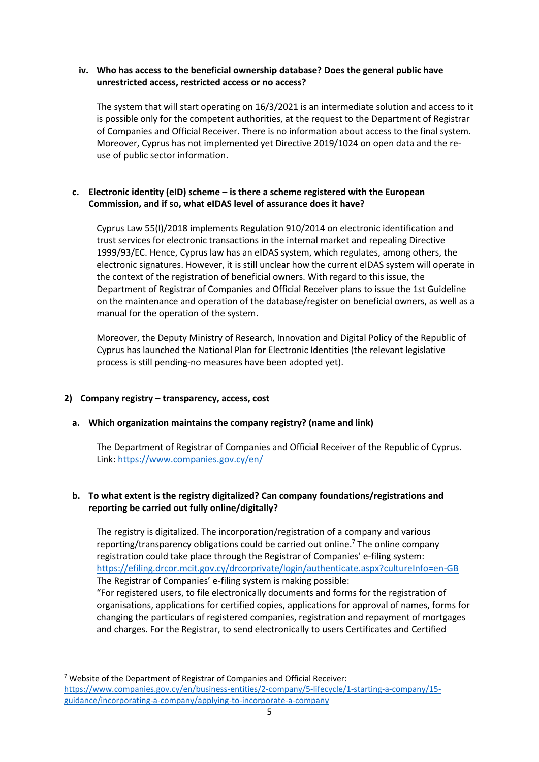#### **iv. Who has access to the beneficial ownership database? Does the general public have unrestricted access, restricted access or no access?**

The system that will start operating on 16/3/2021 is an intermediate solution and access to it is possible only for the competent authorities, at the request to the Department of Registrar of Companies and Official Receiver. There is no information about access to the final system. Moreover, Cyprus has not implemented yet Directive 2019/1024 on open data and the reuse of public sector information.

## **c. Electronic identity (eID) scheme – is there a scheme registered with the European Commission, and if so, what eIDAS level of assurance does it have?**

Cyprus Law 55(I)/2018 implements Regulation 910/2014 on electronic identification and trust services for electronic transactions in the internal market and repealing Directive 1999/93/EC. Hence, Cyprus law has an eIDAS system, which regulates, among others, the electronic signatures. However, it is still unclear how the current eIDAS system will operate in the context of the registration of beneficial owners. With regard to this issue, the Department of Registrar of Companies and Official Receiver plans to issue the 1st Guideline on the maintenance and operation of the database/register on beneficial owners, as well as a manual for the operation of the system.

Moreover, the Deputy Ministry of Research, Innovation and Digital Policy of the Republic of Cyprus has launched the National Plan for Electronic Identities (the relevant legislative process is still pending-no measures have been adopted yet).

## **2) Company registry – transparency, access, cost**

## **a. Which organization maintains the company registry? (name and link)**

The Department of Registrar of Companies and Official Receiver of the Republic of Cyprus. Link:<https://www.companies.gov.cy/en/>

## **b. To what extent is the registry digitalized? Can company foundations/registrations and reporting be carried out fully online/digitally?**

The registry is digitalized. The incorporation/registration of a company and various reporting/transparency obligations could be carried out online.<sup>7</sup> The online company registration could take place through the Registrar of Companies' e-filing system: <https://efiling.drcor.mcit.gov.cy/drcorprivate/login/authenticate.aspx?cultureInfo=en-GB> The Registrar of Companies' e-filing system is making possible:

"For registered users, to file electronically documents and forms for the registration of organisations, applications for certified copies, applications for approval of names, forms for changing the particulars of registered companies, registration and repayment of mortgages and charges. For the Registrar, to send electronically to users Certificates and Certified

<sup>7</sup> Website of the Department of Registrar of Companies and Official Receiver: [https://www.companies.gov.cy/en/business-entities/2-company/5-lifecycle/1-starting-a-company/15](https://www.companies.gov.cy/en/business-entities/2-company/5-lifecycle/1-starting-a-company/15-guidance/incorporating-a-company/applying-to-incorporate-a-company) [guidance/incorporating-a-company/applying-to-incorporate-a-company](https://www.companies.gov.cy/en/business-entities/2-company/5-lifecycle/1-starting-a-company/15-guidance/incorporating-a-company/applying-to-incorporate-a-company)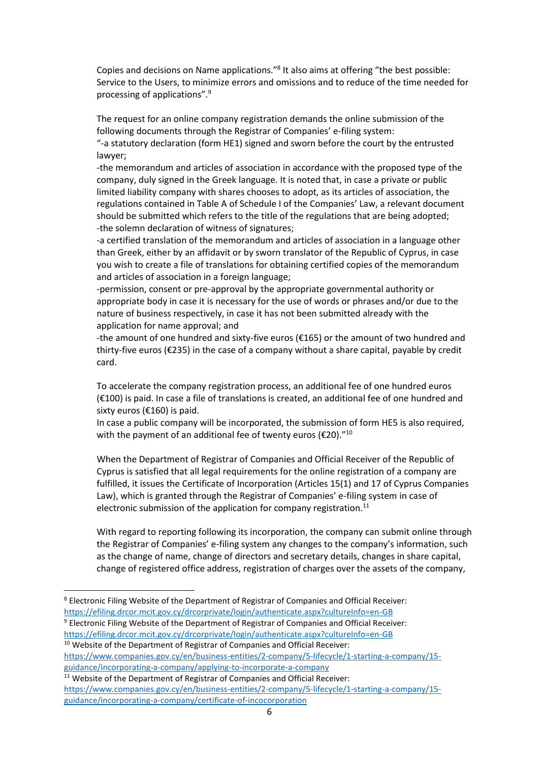Copies and decisions on Name applications."<sup>8</sup> It also aims at offering "the best possible: Service to the Users, to minimize errors and omissions and to reduce of the time needed for processing of applications".<sup>9</sup>

The request for an online company registration demands the online submission of the following documents through the Registrar of Companies' e-filing system:

"-a statutory declaration (form HE1) signed and sworn before the court by the entrusted lawyer;

-the memorandum and articles of association in accordance with the proposed type of the company, duly signed in the Greek language. It is noted that, in case a private or public limited liability company with shares chooses to adopt, as its articles of association, the regulations contained in Table A of Schedule I of the Companies' Law, a relevant document should be submitted which refers to the title of the regulations that are being adopted; -the solemn declaration of witness of signatures;

-a certified translation of the memorandum and articles of association in a language other than Greek, either by an affidavit or by sworn translator of the Republic of Cyprus, in case you wish to create a file of translations for obtaining certified copies of the memorandum and articles of association in a foreign language;

-permission, consent or pre-approval by the appropriate governmental authority or appropriate body in case it is necessary for the use of words or phrases and/or due to the nature of business respectively, in case it has not been submitted already with the application for name approval; and

-the amount of one hundred and sixty-five euros (€165) or the amount of two hundred and thirty-five euros (€235) in the case of a company without a share capital, payable by credit card.

To accelerate the company registration process, an additional fee of one hundred euros (€100) is paid. In case a file of translations is created, an additional fee of one hundred and sixty euros (€160) is paid.

In case a public company will be incorporated, the submission of form HE5 is also required, with the payment of an additional fee of twenty euros ( $\epsilon$ 20)."<sup>10</sup>

When the Department of Registrar of Companies and Official Receiver of the Republic of Cyprus is satisfied that all legal requirements for the online registration of a company are fulfilled, it issues the Certificate of Incorporation (Articles 15(1) and 17 of Cyprus Companies Law), which is granted through the Registrar of Companies' e-filing system in case of electronic submission of the application for company registration.<sup>11</sup>

With regard to reporting following its incorporation, the company can submit online through the Registrar of Companies' e-filing system any changes to the company's information, such as the change of name, change of directors and secretary details, changes in share capital, change of registered office address, registration of charges over the assets of the company,

<sup>9</sup> Electronic Filing Website of the Department of Registrar of Companies and Official Receiver: <https://efiling.drcor.mcit.gov.cy/drcorprivate/login/authenticate.aspx?cultureInfo=en-GB>

<sup>10</sup> Website of the Department of Registrar of Companies and Official Receiver:

[https://www.companies.gov.cy/en/business-entities/2-company/5-lifecycle/1-starting-a-company/15](https://www.companies.gov.cy/en/business-entities/2-company/5-lifecycle/1-starting-a-company/15-guidance/incorporating-a-company/applying-to-incorporate-a-company) [guidance/incorporating-a-company/applying-to-incorporate-a-company](https://www.companies.gov.cy/en/business-entities/2-company/5-lifecycle/1-starting-a-company/15-guidance/incorporating-a-company/applying-to-incorporate-a-company)

<sup>8</sup> Electronic Filing Website of the Department of Registrar of Companies and Official Receiver: <https://efiling.drcor.mcit.gov.cy/drcorprivate/login/authenticate.aspx?cultureInfo=en-GB>

<sup>&</sup>lt;sup>11</sup> Website of the Department of Registrar of Companies and Official Receiver: [https://www.companies.gov.cy/en/business-entities/2-company/5-lifecycle/1-starting-a-company/15](https://www.companies.gov.cy/en/business-entities/2-company/5-lifecycle/1-starting-a-company/15-guidance/incorporating-a-company/certificate-of-incocorporation) [guidance/incorporating-a-company/certificate-of-incocorporation](https://www.companies.gov.cy/en/business-entities/2-company/5-lifecycle/1-starting-a-company/15-guidance/incorporating-a-company/certificate-of-incocorporation)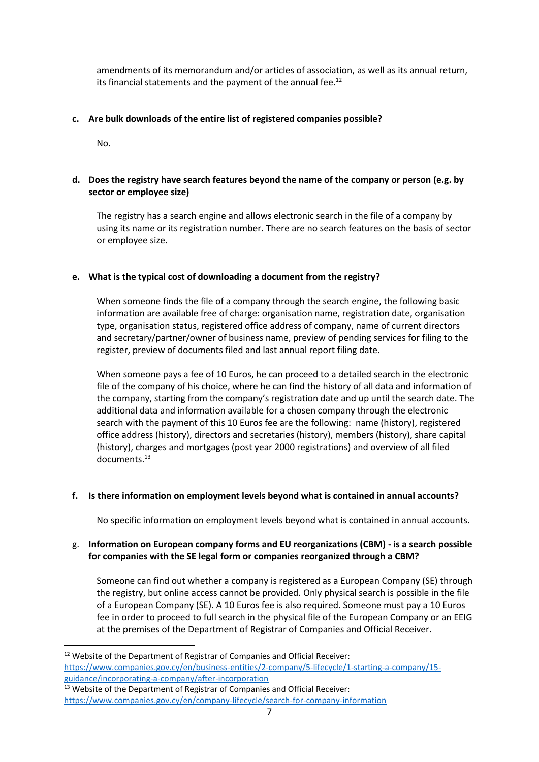amendments of its memorandum and/or articles of association, as well as its annual return, its financial statements and the payment of the annual fee.<sup>12</sup>

#### **c. Are bulk downloads of the entire list of registered companies possible?**

No.

#### **d. Does the registry have search features beyond the name of the company or person (e.g. by sector or employee size)**

The registry has a search engine and allows electronic search in the file of a company by using its name or its registration number. There are no search features on the basis of sector or employee size.

#### **e. What is the typical cost of downloading a document from the registry?**

When someone finds the file of a company through the search engine, the following basic information are available free of charge: organisation name, registration date, organisation type, organisation status, registered office address of company, name of current directors and secretary/partner/owner of business name, preview of pending services for filing to the register, preview of documents filed and last annual report filing date.

When someone pays a fee of 10 Euros, he can proceed to a detailed search in the electronic file of the company of his choice, where he can find the history of all data and information of the company, starting from the company's registration date and up until the search date. The additional data and information available for a chosen company through the electronic search with the payment of this 10 Euros fee are the following: name (history), registered office address (history), directors and secretaries (history), members (history), share capital (history), charges and mortgages (post year 2000 registrations) and overview of all filed documents.<sup>13</sup>

#### **f. Is there information on employment levels beyond what is contained in annual accounts?**

No specific information on employment levels beyond what is contained in annual accounts.

#### g. **Information on European company forms and EU reorganizations (CBM) - is a search possible for companies with the SE legal form or companies reorganized through a CBM?**

Someone can find out whether a company is registered as a European Company (SE) through the registry, but online access cannot be provided. Only physical search is possible in the file of a European Company (SE). A 10 Euros fee is also required. Someone must pay a 10 Euros fee in order to proceed to full search in the physical file of the European Company or an EEIG at the premises of the Department of Registrar of Companies and Official Receiver.

<sup>&</sup>lt;sup>12</sup> Website of the Department of Registrar of Companies and Official Receiver: [https://www.companies.gov.cy/en/business-entities/2-company/5-lifecycle/1-starting-a-company/15](https://www.companies.gov.cy/en/business-entities/2-company/5-lifecycle/1-starting-a-company/15-guidance/incorporating-a-company/after-incorporation) [guidance/incorporating-a-company/after-incorporation](https://www.companies.gov.cy/en/business-entities/2-company/5-lifecycle/1-starting-a-company/15-guidance/incorporating-a-company/after-incorporation)

<sup>&</sup>lt;sup>13</sup> Website of the Department of Registrar of Companies and Official Receiver: <https://www.companies.gov.cy/en/company-lifecycle/search-for-company-information>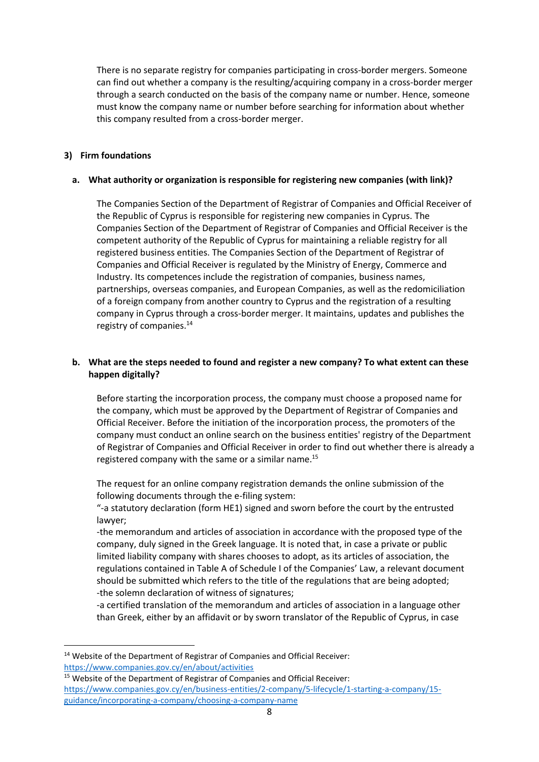There is no separate registry for companies participating in cross-border mergers. Someone can find out whether a company is the resulting/acquiring company in a cross-border merger through a search conducted on the basis of the company name or number. Hence, someone must know the company name or number before searching for information about whether this company resulted from a cross-border merger.

#### **3) Firm foundations**

#### **a. What authority or organization is responsible for registering new companies (with link)?**

The Companies Section of the Department of Registrar of Companies and Official Receiver of the Republic of Cyprus is responsible for registering new companies in Cyprus. The Companies Section of the Department of Registrar of Companies and Official Receiver is the competent authority of the Republic of Cyprus for maintaining a reliable registry for all registered business entities. The Companies Section of the Department of Registrar of Companies and Official Receiver is regulated by the Ministry of Energy, Commerce and Industry. Its competences include the registration of companies, business names, partnerships, overseas companies, and European Companies, as well as the redomiciliation of a foreign company from another country to Cyprus and the registration of a resulting company in Cyprus through a cross-border merger. It maintains, updates and publishes the registry of companies.<sup>14</sup>

## **b. What are the steps needed to found and register a new company? To what extent can these happen digitally?**

Before starting the incorporation process, the company must choose a proposed name for the company, which must be approved by the Department of Registrar of Companies and Official Receiver. Before the initiation of the incorporation process, the promoters of the company must conduct an online search on the business entities' registry of the Department of Registrar of Companies and Official Receiver in order to find out whether there is already a registered company with the same or a similar name.<sup>15</sup>

The request for an online company registration demands the online submission of the following documents through the e-filing system:

"-a statutory declaration (form HE1) signed and sworn before the court by the entrusted lawyer;

-the memorandum and articles of association in accordance with the proposed type of the company, duly signed in the Greek language. It is noted that, in case a private or public limited liability company with shares chooses to adopt, as its articles of association, the regulations contained in Table A of Schedule I of the Companies' Law, a relevant document should be submitted which refers to the title of the regulations that are being adopted; -the solemn declaration of witness of signatures;

-a certified translation of the memorandum and articles of association in a language other than Greek, either by an affidavit or by sworn translator of the Republic of Cyprus, in case

<sup>&</sup>lt;sup>14</sup> Website of the Department of Registrar of Companies and Official Receiver: <https://www.companies.gov.cy/en/about/activities>

<sup>&</sup>lt;sup>15</sup> Website of the Department of Registrar of Companies and Official Receiver: [https://www.companies.gov.cy/en/business-entities/2-company/5-lifecycle/1-starting-a-company/15](https://www.companies.gov.cy/en/business-entities/2-company/5-lifecycle/1-starting-a-company/15-guidance/incorporating-a-company/choosing-a-company-name) [guidance/incorporating-a-company/choosing-a-company-name](https://www.companies.gov.cy/en/business-entities/2-company/5-lifecycle/1-starting-a-company/15-guidance/incorporating-a-company/choosing-a-company-name)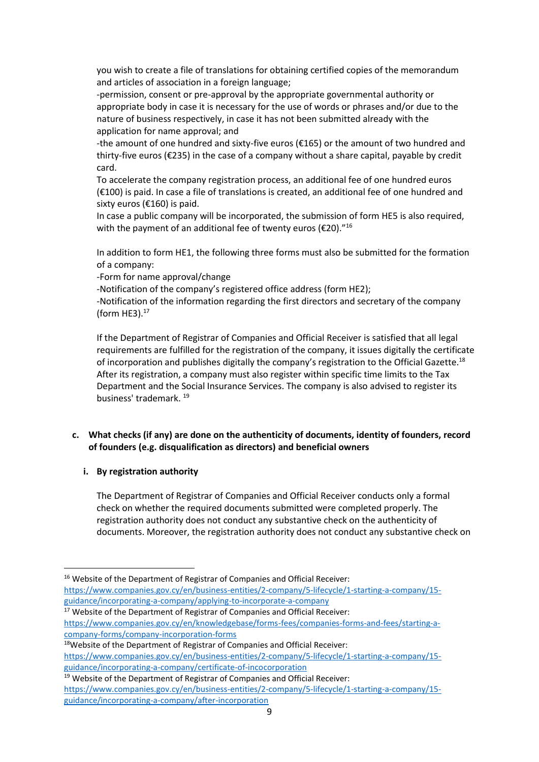you wish to create a file of translations for obtaining certified copies of the memorandum and articles of association in a foreign language;

-permission, consent or pre-approval by the appropriate governmental authority or appropriate body in case it is necessary for the use of words or phrases and/or due to the nature of business respectively, in case it has not been submitted already with the application for name approval; and

-the amount of one hundred and sixty-five euros (€165) or the amount of two hundred and thirty-five euros (€235) in the case of a company without a share capital, payable by credit card.

To accelerate the company registration process, an additional fee of one hundred euros (€100) is paid. In case a file of translations is created, an additional fee of one hundred and sixty euros (€160) is paid.

In case a public company will be incorporated, the submission of form HE5 is also required, with the payment of an additional fee of twenty euros ( $\epsilon$ 20)."<sup>16</sup>

In addition to form HE1, the following three forms must also be submitted for the formation of a company:

-Form for name approval/change

-Notification of the company's registered office address (form HE2);

-Notification of the information regarding the first directors and secretary of the company (form HE3).<sup>17</sup>

If the Department of Registrar of Companies and Official Receiver is satisfied that all legal requirements are fulfilled for the registration of the company, it issues digitally the certificate of incorporation and publishes digitally the company's registration to the Official Gazette.<sup>18</sup> After its registration, a company must also register within specific time limits to the Tax Department and the Social Insurance Services. The company is also advised to register its business' trademark. <sup>19</sup>

## **c. What checks (if any) are done on the authenticity of documents, identity of founders, record of founders (e.g. disqualification as directors) and beneficial owners**

## **i. By registration authority**

The Department of Registrar of Companies and Official Receiver conducts only a formal check on whether the required documents submitted were completed properly. The registration authority does not conduct any substantive check on the authenticity of documents. Moreover, the registration authority does not conduct any substantive check on

[https://www.companies.gov.cy/en/business-entities/2-company/5-lifecycle/1-starting-a-company/15](https://www.companies.gov.cy/en/business-entities/2-company/5-lifecycle/1-starting-a-company/15-guidance/incorporating-a-company/applying-to-incorporate-a-company) [guidance/incorporating-a-company/applying-to-incorporate-a-company](https://www.companies.gov.cy/en/business-entities/2-company/5-lifecycle/1-starting-a-company/15-guidance/incorporating-a-company/applying-to-incorporate-a-company)

<sup>17</sup> Website of the Department of Registrar of Companies and Official Receiver: [https://www.companies.gov.cy/en/knowledgebase/forms-fees/companies-forms-and-fees/starting-a](https://www.companies.gov.cy/en/knowledgebase/forms-fees/companies-forms-and-fees/starting-a-company-forms/company-incorporation-forms)[company-forms/company-incorporation-forms](https://www.companies.gov.cy/en/knowledgebase/forms-fees/companies-forms-and-fees/starting-a-company-forms/company-incorporation-forms)

[https://www.companies.gov.cy/en/business-entities/2-company/5-lifecycle/1-starting-a-company/15](https://www.companies.gov.cy/en/business-entities/2-company/5-lifecycle/1-starting-a-company/15-guidance/incorporating-a-company/certificate-of-incocorporation) [guidance/incorporating-a-company/certificate-of-incocorporation](https://www.companies.gov.cy/en/business-entities/2-company/5-lifecycle/1-starting-a-company/15-guidance/incorporating-a-company/certificate-of-incocorporation)

<sup>&</sup>lt;sup>16</sup> Website of the Department of Registrar of Companies and Official Receiver:

<sup>18</sup>Website of the Department of Registrar of Companies and Official Receiver:

<sup>&</sup>lt;sup>19</sup> Website of the Department of Registrar of Companies and Official Receiver: [https://www.companies.gov.cy/en/business-entities/2-company/5-lifecycle/1-starting-a-company/15](https://www.companies.gov.cy/en/business-entities/2-company/5-lifecycle/1-starting-a-company/15-guidance/incorporating-a-company/after-incorporation) [guidance/incorporating-a-company/after-incorporation](https://www.companies.gov.cy/en/business-entities/2-company/5-lifecycle/1-starting-a-company/15-guidance/incorporating-a-company/after-incorporation)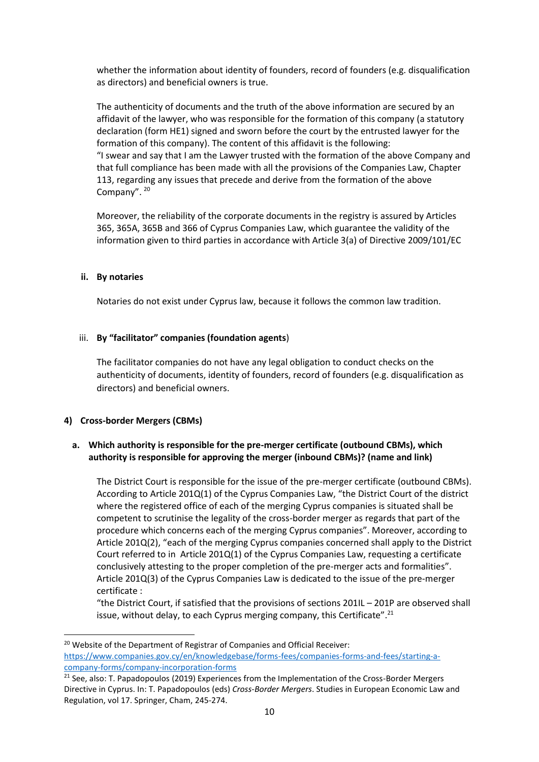whether the information about identity of founders, record of founders (e.g. disqualification as directors) and beneficial owners is true.

The authenticity of documents and the truth of the above information are secured by an affidavit of the lawyer, who was responsible for the formation of this company (a statutory declaration (form HE1) signed and sworn before the court by the entrusted lawyer for the formation of this company). The content of this affidavit is the following: "I swear and say that I am the Lawyer trusted with the formation of the above Company and that full compliance has been made with all the provisions of the Companies Law, Chapter 113, regarding any issues that precede and derive from the formation of the above Company". 20

Moreover, the reliability of the corporate documents in the registry is assured by Articles 365, 365A, 365B and 366 of Cyprus Companies Law, which guarantee the validity of the information given to third parties in accordance with Article 3(a) of Directive 2009/101/EC

#### **ii. By notaries**

Notaries do not exist under Cyprus law, because it follows the common law tradition.

#### iii. **By "facilitator" companies (foundation agents**)

The facilitator companies do not have any legal obligation to conduct checks on the authenticity of documents, identity of founders, record of founders (e.g. disqualification as directors) and beneficial owners.

#### **4) Cross-border Mergers (CBMs)**

#### **a. Which authority is responsible for the pre-merger certificate (outbound CBMs), which authority is responsible for approving the merger (inbound CBMs)? (name and link)**

The District Court is responsible for the issue of the pre-merger certificate (outbound CBMs). According to Article 201Q(1) of the Cyprus Companies Law, "the District Court of the district where the registered office of each of the merging Cyprus companies is situated shall be competent to scrutinise the legality of the cross-border merger as regards that part of the procedure which concerns each of the merging Cyprus companies". Moreover, according to Article 201Q(2), "each of the merging Cyprus companies concerned shall apply to the District Court referred to in Article 201Q(1) of the Cyprus Companies Law, requesting a certificate conclusively attesting to the proper completion of the pre-merger acts and formalities". Article 201Q(3) of the Cyprus Companies Law is dedicated to the issue of the pre-merger certificate :

"the District Court, if satisfied that the provisions of sections 201IL – 201P are observed shall issue, without delay, to each Cyprus merging company, this Certificate".<sup>21</sup>

<sup>&</sup>lt;sup>20</sup> Website of the Department of Registrar of Companies and Official Receiver: [https://www.companies.gov.cy/en/knowledgebase/forms-fees/companies-forms-and-fees/starting-a](https://www.companies.gov.cy/en/knowledgebase/forms-fees/companies-forms-and-fees/starting-a-company-forms/company-incorporation-forms)[company-forms/company-incorporation-forms](https://www.companies.gov.cy/en/knowledgebase/forms-fees/companies-forms-and-fees/starting-a-company-forms/company-incorporation-forms)

<sup>&</sup>lt;sup>21</sup> See, also: T. Papadopoulos (2019) Experiences from the Implementation of the Cross-Border Mergers Directive in Cyprus. In: T. Papadopoulos (eds) *Cross-Border Mergers*. Studies in European Economic Law and Regulation, vol 17. Springer, Cham, 245-274.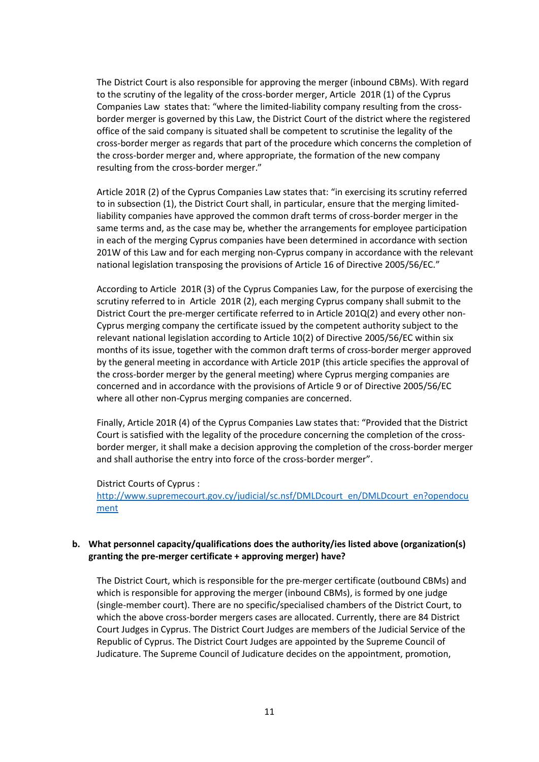The District Court is also responsible for approving the merger (inbound CBMs). With regard to the scrutiny of the legality of the cross-border merger, Article 201R (1) of the Cyprus Companies Law states that: "where the limited-liability company resulting from the crossborder merger is governed by this Law, the District Court of the district where the registered office of the said company is situated shall be competent to scrutinise the legality of the cross-border merger as regards that part of the procedure which concerns the completion of the cross-border merger and, where appropriate, the formation of the new company resulting from the cross-border merger."

Article 201R (2) of the Cyprus Companies Law states that: "in exercising its scrutiny referred to in subsection (1), the District Court shall, in particular, ensure that the merging limitedliability companies have approved the common draft terms of cross-border merger in the same terms and, as the case may be, whether the arrangements for employee participation in each of the merging Cyprus companies have been determined in accordance with section 201W of this Law and for each merging non-Cyprus company in accordance with the relevant national legislation transposing the provisions of Article 16 of Directive 2005/56/EC."

According to Article 201R (3) of the Cyprus Companies Law, for the purpose of exercising the scrutiny referred to in Article 201R (2), each merging Cyprus company shall submit to the District Court the pre-merger certificate referred to in Article 201Q(2) and every other non-Cyprus merging company the certificate issued by the competent authority subject to the relevant national legislation according to Article 10(2) of Directive 2005/56/EC within six months of its issue, together with the common draft terms of cross-border merger approved by the general meeting in accordance with Article 201P (this article specifies the approval of the cross-border merger by the general meeting) where Cyprus merging companies are concerned and in accordance with the provisions of Article 9 or of Directive 2005/56/EC where all other non-Cyprus merging companies are concerned.

Finally, Article 201R (4) of the Cyprus Companies Law states that: "Provided that the District Court is satisfied with the legality of the procedure concerning the completion of the crossborder merger, it shall make a decision approving the completion of the cross-border merger and shall authorise the entry into force of the cross-border merger".

#### District Courts of Cyprus :

[http://www.supremecourt.gov.cy/judicial/sc.nsf/DMLDcourt\\_en/DMLDcourt\\_en?opendocu](http://www.supremecourt.gov.cy/judicial/sc.nsf/DMLDcourt_en/DMLDcourt_en?opendocument) [ment](http://www.supremecourt.gov.cy/judicial/sc.nsf/DMLDcourt_en/DMLDcourt_en?opendocument)

#### **b. What personnel capacity/qualifications does the authority/ies listed above (organization(s) granting the pre-merger certificate + approving merger) have?**

The District Court, which is responsible for the pre-merger certificate (outbound CBMs) and which is responsible for approving the merger (inbound CBMs), is formed by one judge (single-member court). There are no specific/specialised chambers of the District Court, to which the above cross-border mergers cases are allocated. Currently, there are 84 District Court Judges in Cyprus. The District Court Judges are members of the Judicial Service of the Republic of Cyprus. The District Court Judges are appointed by the Supreme Council of Judicature. The Supreme Council of Judicature decides on the appointment, promotion,